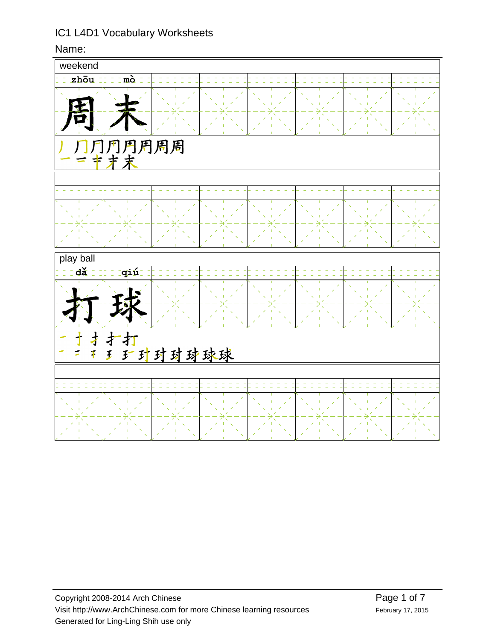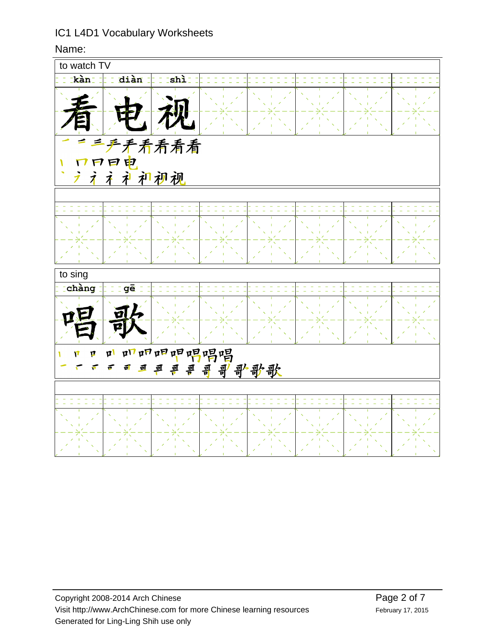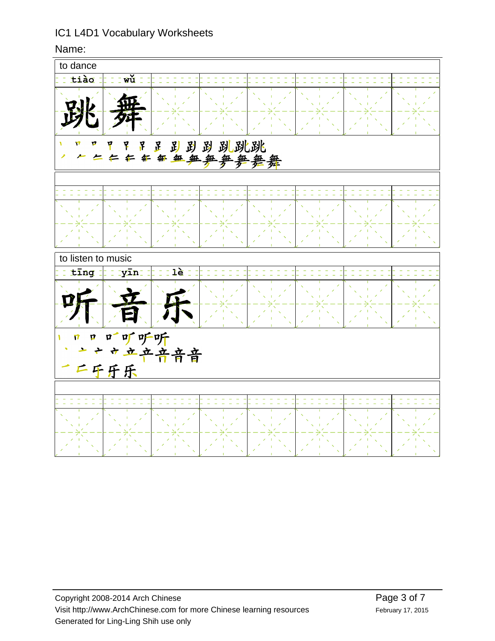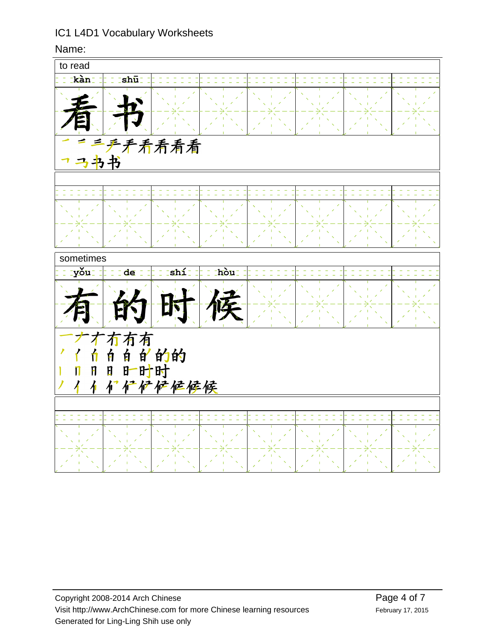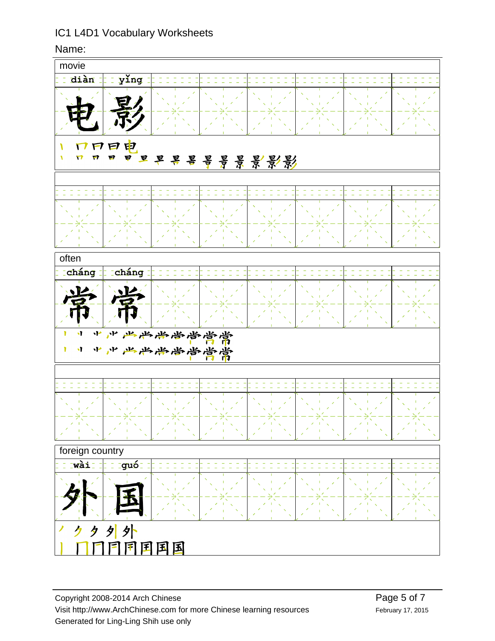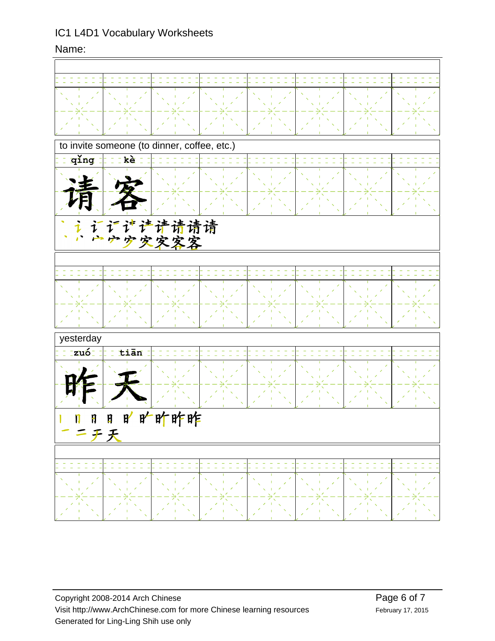| to invite someone (to dinner, coffee, etc.)        |            |  |  |  |  |  |  |
|----------------------------------------------------|------------|--|--|--|--|--|--|
| qing                                               | kè         |  |  |  |  |  |  |
|                                                    |            |  |  |  |  |  |  |
|                                                    |            |  |  |  |  |  |  |
| ·<br>すき诗请请请<br>空空客客                                |            |  |  |  |  |  |  |
|                                                    |            |  |  |  |  |  |  |
|                                                    |            |  |  |  |  |  |  |
|                                                    |            |  |  |  |  |  |  |
|                                                    |            |  |  |  |  |  |  |
| yesterday                                          |            |  |  |  |  |  |  |
| zuó                                                | tiān<br>÷, |  |  |  |  |  |  |
|                                                    |            |  |  |  |  |  |  |
|                                                    |            |  |  |  |  |  |  |
| 旷旷昨昨<br>$\mathbf{F}'$<br>Ø<br>Ħ<br>IJ<br><b>チ天</b> |            |  |  |  |  |  |  |
|                                                    |            |  |  |  |  |  |  |
|                                                    |            |  |  |  |  |  |  |
|                                                    |            |  |  |  |  |  |  |
|                                                    |            |  |  |  |  |  |  |